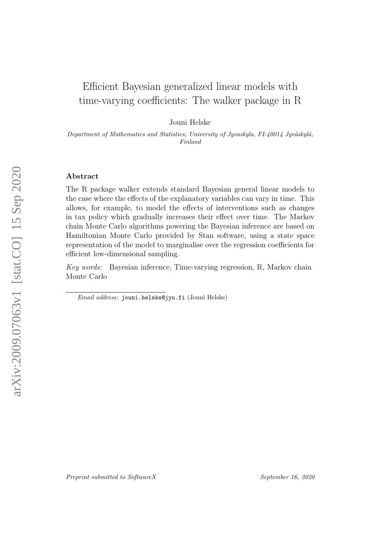# Efficient Bayesian generalized linear models with time-varying coefficients: The walker package in R

Jouni Helske

Department of Mathematics and Statistics, University of Jyvaskyla, FI-40014 Jyväskylä, Finland

## Abstract

The R package walker extends standard Bayesian general linear models to the case where the effects of the explanatory variables can vary in time. This allows, for example, to model the effects of interventions such as changes in tax policy which gradually increases their effect over time. The Markov chain Monte Carlo algorithms powering the Bayesian inference are based on Hamiltonian Monte Carlo provided by Stan software, using a state space representation of the model to marginalise over the regression coefficients for efficient low-dimensional sampling.

Key words: Bayesian inference, Time-varying regression, R, Markov chain Monte Carlo

Email address: jouni.helske@jyu.fi (Jouni Helske)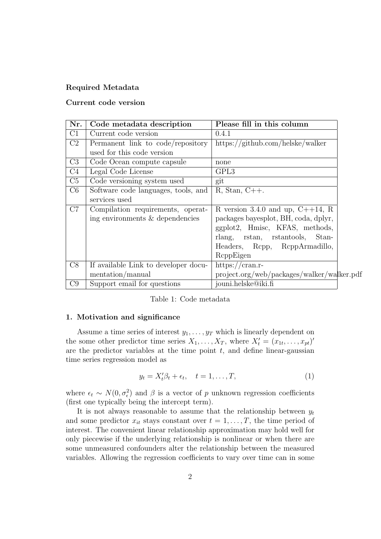# Required Metadata

# Current code version

| Nr.            | Code metadata description            | Please fill in this column                                                  |
|----------------|--------------------------------------|-----------------------------------------------------------------------------|
| C1             | Current code version                 | 0.4.1                                                                       |
| C <sub>2</sub> | Permanent link to code/repository    | $\frac{https://github.com/helske/walker}{https://github.com/helske/walker}$ |
|                | used for this code version           |                                                                             |
| C <sub>3</sub> | Code Ocean compute capsule           | none                                                                        |
| C <sub>4</sub> | Legal Code License                   | GPL3                                                                        |
| C5             | Code versioning system used          | git                                                                         |
| C6             | Software code languages, tools, and  | $R, Stan, C++.$                                                             |
|                | services used                        |                                                                             |
| C7             | Compilation requirements, operat-    | R version 3.4.0 and up, $C++14$ , R                                         |
|                | ing environments & dependencies      | packages bayesplot, BH, coda, dplyr,                                        |
|                |                                      | ggplot2, Hmisc, KFAS, methods,                                              |
|                |                                      | rlang, rstan, rstantools, Stan-                                             |
|                |                                      | Headers, Rcpp, RcppArmadillo,                                               |
|                |                                      | ReppEigen                                                                   |
| C8             | If available Link to developer docu- | https://cran.r-                                                             |
|                | mentation/manual                     | project.org/web/packages/walker/walker.pdf                                  |
| C9             | Support email for questions          | jouni.helske@iki.fi                                                         |

| Table 1: Code metadata |
|------------------------|
|                        |

## 1. Motivation and significance

Assume a time series of interest  $y_1, \ldots, y_T$  which is linearly dependent on the some other predictor time series  $X_1, \ldots, X_T$ , where  $X'_t = (x_{1t}, \ldots, x_{pt})'$ are the predictor variables at the time point  $t$ , and define linear-gaussian time series regression model as

<span id="page-1-0"></span>
$$
y_t = X_t'\beta_t + \epsilon_t, \quad t = 1, \dots, T,
$$
\n<sup>(1)</sup>

where  $\epsilon_t \sim N(0, \sigma_{\epsilon}^2)$  and  $\beta$  is a vector of p unknown regression coefficients (first one typically being the intercept term).

It is not always reasonable to assume that the relationship between  $y_t$ and some predictor  $x_{it}$  stays constant over  $t = 1, \ldots, T$ , the time period of interest. The convenient linear relationship approximation may hold well for only piecewise if the underlying relationship is nonlinear or when there are some unmeasured confounders alter the relationship between the measured variables. Allowing the regression coefficients to vary over time can in some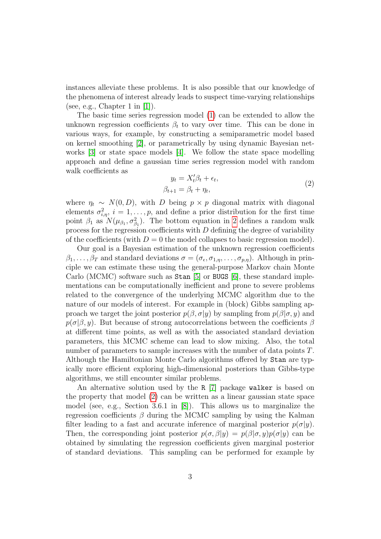instances alleviate these problems. It is also possible that our knowledge of the phenomena of interest already leads to suspect time-varying relationships (see, e.g., Chapter 1 in  $[1]$ ).

The basic time series regression model [\(1\)](#page-1-0) can be extended to allow the unknown regression coefficients  $\beta_t$  to vary over time. This can be done in various ways, for example, by constructing a semiparametric model based on kernel smoothing [\[2\]](#page-7-1), or parametrically by using dynamic Bayesian networks [\[3\]](#page-7-2) or state space models [\[4\]](#page-7-3). We follow the state space modelling approach and define a gaussian time series regression model with random walk coefficients as

<span id="page-2-0"></span>
$$
y_t = X_t'\beta_t + \epsilon_t,
$$
  

$$
\beta_{t+1} = \beta_t + \eta_t,
$$
 (2)

where  $\eta_t \sim N(0, D)$ , with D being  $p \times p$  diagonal matrix with diagonal elements  $\sigma_{i,\eta}^2$ ,  $i = 1, \ldots, p$ , and define a prior distribution for the first time point  $\beta_1$  as  $N(\mu_{\beta_1}, \sigma_{\beta_1}^2)$ . The bottom equation in [2](#page-2-0) defines a random walk process for the regression coefficients with  $D$  defining the degree of variability of the coefficients (with  $D = 0$  the model collapses to basic regression model).

Our goal is a Bayesian estimation of the unknown regression coefficients  $\beta_1,\ldots,\beta_T$  and standard deviations  $\sigma=(\sigma_{\epsilon},\sigma_{1,\eta},\ldots,\sigma_{p,\eta})$ . Although in principle we can estimate these using the general-purpose Markov chain Monte Carlo (MCMC) software such as Stan [\[5\]](#page-7-4) or BUGS [\[6\]](#page-7-5), these standard implementations can be computationally inefficient and prone to severe problems related to the convergence of the underlying MCMC algorithm due to the nature of our models of interest. For example in (block) Gibbs sampling approach we target the joint posterior  $p(\beta, \sigma | y)$  by sampling from  $p(\beta | \sigma, y)$  and  $p(\sigma|\beta, y)$ . But because of strong autocorrelations between the coefficients  $\beta$ at different time points, as well as with the associated standard deviation parameters, this MCMC scheme can lead to slow mixing. Also, the total number of parameters to sample increases with the number of data points T. Although the Hamiltonian Monte Carlo algorithms offered by Stan are typically more efficient exploring high-dimensional posteriors than Gibbs-type algorithms, we still encounter similar problems.

An alternative solution used by the R [\[7\]](#page-7-6) package walker is based on the property that model [\(2\)](#page-2-0) can be written as a linear gaussian state space model (see, e.g., Section 3.6.1 in [\[8\]](#page-7-7)). This allows us to marginalize the regression coefficients  $\beta$  during the MCMC sampling by using the Kalman filter leading to a fast and accurate inference of marginal posterior  $p(\sigma|y)$ . Then, the corresponding joint posterior  $p(\sigma, \beta | y) = p(\beta | \sigma, y)p(\sigma | y)$  can be obtained by simulating the regression coefficients given marginal posterior of standard deviations. This sampling can be performed for example by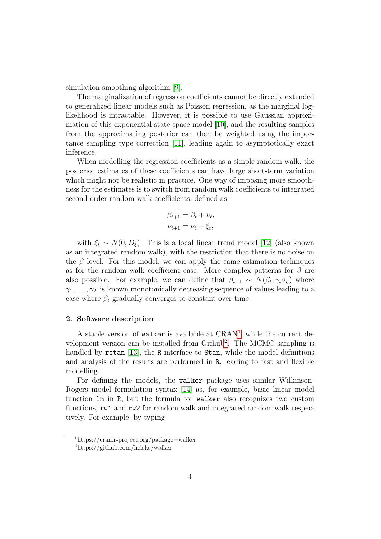simulation smoothing algorithm [\[9\]](#page-7-8).

The marginalization of regression coefficients cannot be directly extended to generalized linear models such as Poisson regression, as the marginal loglikelihood is intractable. However, it is possible to use Gaussian approximation of this exponential state space model [\[10\]](#page-7-9), and the resulting samples from the approximating posterior can then be weighted using the importance sampling type correction [\[11\]](#page-7-10), leading again to asymptotically exact inference.

When modelling the regression coefficients as a simple random walk, the posterior estimates of these coefficients can have large short-term variation which might not be realistic in practice. One way of imposing more smoothness for the estimates is to switch from random walk coefficients to integrated second order random walk coefficients, defined as

$$
\beta_{t+1} = \beta_t + \nu_t,
$$
  

$$
\nu_{t+1} = \nu_t + \xi_t,
$$

with  $\xi_t \sim N(0, D_{\xi})$ . This is a local linear trend model [\[12\]](#page-8-0) (also known as an integrated random walk), with the restriction that there is no noise on the  $\beta$  level. For this model, we can apply the same estimation techniques as for the random walk coefficient case. More complex patterns for  $\beta$  are also possible. For example, we can define that  $\beta_{t+1} \sim N(\beta_t, \gamma_t \sigma_{\eta})$  where  $\gamma_1, \ldots, \gamma_T$  is known monotonically decreasing sequence of values leading to a case where  $\beta_t$  gradually converges to constant over time.

#### <span id="page-3-2"></span>2. Software description

A stable version of walker is available at CRAN<sup>[1](#page-3-0)</sup>, while the current de-velopment version can be installed from Github<sup>[2](#page-3-1)</sup>. The MCMC sampling is handled by rstan [\[13\]](#page-8-1), the R interface to Stan, while the model definitions and analysis of the results are performed in R, leading to fast and flexible modelling.

For defining the models, the walker package uses similar Wilkinson-Rogers model formulation syntax [\[14\]](#page-8-2) as, for example, basic linear model function lm in R, but the formula for walker also recognizes two custom functions, rw1 and rw2 for random walk and integrated random walk respectively. For example, by typing

<span id="page-3-0"></span><sup>1</sup>https://cran.r-project.org/package=walker

<span id="page-3-1"></span><sup>2</sup>https://github.com/helske/walker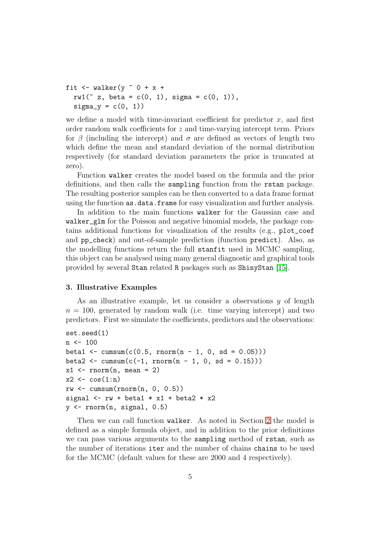```
fit \le walker(y \le 0 + x +
  rw1( z, beta = c(0, 1), sigma = c(0, 1),
  signa_y = c(0, 1)
```
we define a model with time-invariant coefficient for predictor  $x$ , and first order random walk coefficients for z and time-varying intercept term. Priors for  $\beta$  (including the intercept) and  $\sigma$  are defined as vectors of length two which define the mean and standard deviation of the normal distribution respectively (for standard deviation parameters the prior is truncated at zero).

Function walker creates the model based on the formula and the prior definitions, and then calls the sampling function from the rstan package. The resulting posterior samples can be then converted to a data frame format using the function as.data.frame for easy visualization and further analysis.

In addition to the main functions walker for the Gaussian case and walker\_glm for the Poisson and negative binomial models, the package contains additional functions for visualization of the results (e.g., plot\_coef and pp\_check) and out-of-sample prediction (function predict). Also, as the modelling functions return the full stanfit used in MCMC sampling, this object can be analysed using many general diagnostic and graphical tools provided by several Stan related R packages such as ShinyStan [\[15\]](#page-8-3).

#### 3. Illustrative Examples

As an illustrative example, let us consider a observations  $y$  of length  $n = 100$ , generated by random walk (i.e. time varying intercept) and two predictors. First we simulate the coefficients, predictors and the observations:

```
set.seed(1)
n < -100beta1 <- cumsum(c(0.5, rnorm(n - 1, 0, sd = 0.05)))beta2 <- cumsum(c(-1, rnorm(n - 1, 0, sd = 0.15)))x1 \leftarrow \text{norm}(n, \text{mean} = 2)x2 \leftarrow \cos(1:n)rw \leftarrow cumsum(rnorm(n, 0, 0.5))signal \leq rw + beta1 * x1 + beta2 * x2
y \leftarrow \text{rnorm}(n, \text{signal}, 0.5)
```
Then we can call function walker. As noted in Section [2](#page-3-2) the model is defined as a simple formula object, and in addition to the prior definitions we can pass various arguments to the sampling method of rstan, such as the number of iterations iter and the number of chains chains to be used for the MCMC (default values for these are 2000 and 4 respectively).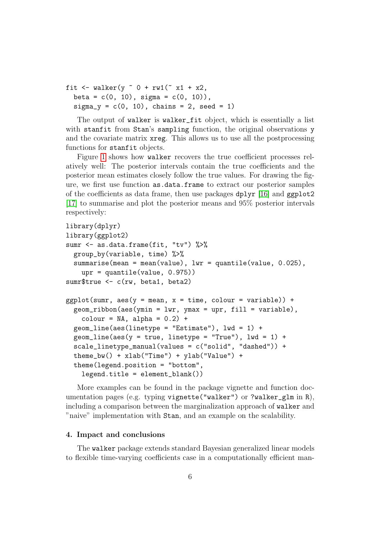```
fit \le walker(y \degree 0 + rw1(\degree x1 + x2,
  beta = c(0, 10), sigma = c(0, 10)),
  signa_y = c(0, 10), chains = 2, seed = 1)
```
The output of walker is walker\_fit object, which is essentially a list with stanfit from Stan's sampling function, the original observations y and the covariate matrix xreg. This allows us to use all the postprocessing functions for stanfit objects.

Figure [1](#page-6-0) shows how walker recovers the true coefficient processes relatively well: The posterior intervals contain the true coefficients and the posterior mean estimates closely follow the true values. For drawing the figure, we first use function as.data.frame to extract our posterior samples of the coefficients as data frame, then use packages  $dplvr$  [\[16\]](#page-8-4) and ggplot2 [\[17\]](#page-8-5) to summarise and plot the posterior means and 95% posterior intervals respectively:

```
library(dplyr)
library(ggplot2)
sumr <- as.data.frame(fit, "tv") %>%
  group_by(variable, time) %>%
  summarise(mean = mean(value), lwr = quantile(value, 0.025),
    upr = quantile(value, 0.975))
sumr$true <- c(rw, beta1, beta2)
ggplot(sumr, aes(y = mean, x = time, colour = variable)) +geom_ribbon(aes(ymin = lwr, ymax = upr, fill = variable),
    \text{colour} = \text{NA}, \text{alpha} = 0.2) +geom\_line(aes(linotype = "Estimate"), lwd = 1) +geom_line(aes(y = true, linetype = "True"), 1wd = 1) +
  scale_linetype_manual(values = c("solid", "dashed")) +
  theme_bw() + xlab("Time") + ylab("Value") +
  theme(legend.position = "bottom",
    legend.title = element_blank())
```
More examples can be found in the package vignette and function documentation pages (e.g. typing vignette("walker") or ?walker\_glm in R), including a comparison between the marginalization approach of walker and "naive" implementation with Stan, and an example on the scalability.

## 4. Impact and conclusions

The walker package extends standard Bayesian generalized linear models to flexible time-varying coefficients case in a computationally efficient man-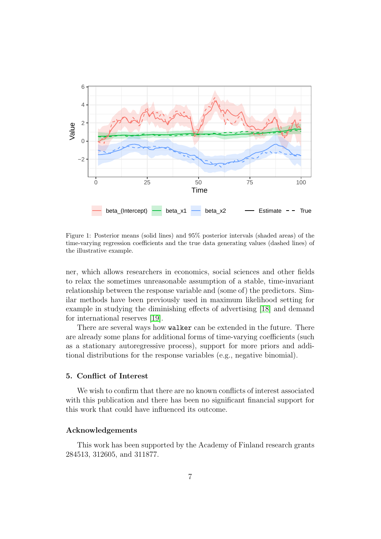

<span id="page-6-0"></span>Figure 1: Posterior means (solid lines) and 95% posterior intervals (shaded areas) of the time-varying regression coefficients and the true data generating values (dashed lines) of the illustrative example.

ner, which allows researchers in economics, social sciences and other fields to relax the sometimes unreasonable assumption of a stable, time-invariant relationship between the response variable and (some of) the predictors. Similar methods have been previously used in maximum likelihood setting for example in studying the diminishing effects of advertising [\[18\]](#page-8-6) and demand for international reserves [\[19\]](#page-8-7).

There are several ways how walker can be extended in the future. There are already some plans for additional forms of time-varying coefficients (such as a stationary autoregressive process), support for more priors and additional distributions for the response variables (e.g., negative binomial).

# 5. Conflict of Interest

We wish to confirm that there are no known conflicts of interest associated with this publication and there has been no significant financial support for this work that could have influenced its outcome.

# Acknowledgements

This work has been supported by the Academy of Finland research grants 284513, 312605, and 311877.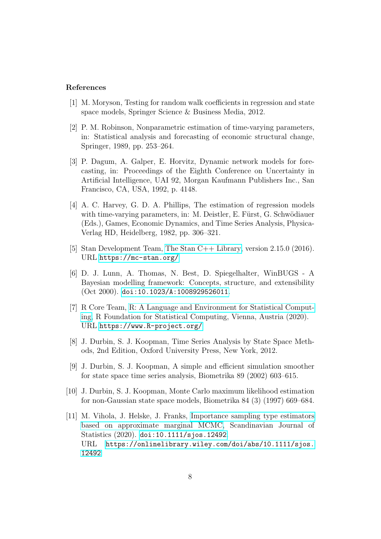## References

- <span id="page-7-0"></span>[1] M. Moryson, Testing for random walk coefficients in regression and state space models, Springer Science & Business Media, 2012.
- <span id="page-7-1"></span>[2] P. M. Robinson, Nonparametric estimation of time-varying parameters, in: Statistical analysis and forecasting of economic structural change, Springer, 1989, pp. 253–264.
- <span id="page-7-2"></span>[3] P. Dagum, A. Galper, E. Horvitz, Dynamic network models for forecasting, in: Proceedings of the Eighth Conference on Uncertainty in Artificial Intelligence, UAI 92, Morgan Kaufmann Publishers Inc., San Francisco, CA, USA, 1992, p. 4148.
- <span id="page-7-3"></span>[4] A. C. Harvey, G. D. A. Phillips, The estimation of regression models with time-varying parameters, in: M. Deistler, E. Fürst, G. Schwödiauer (Eds.), Games, Economic Dynamics, and Time Series Analysis, Physica-Verlag HD, Heidelberg, 1982, pp. 306–321.
- <span id="page-7-4"></span>[5] Stan Development Team, [The Stan C++ Library,](https://mc-stan.org/) version 2.15.0 (2016). URL <https://mc-stan.org/>
- <span id="page-7-5"></span>[6] D. J. Lunn, A. Thomas, N. Best, D. Spiegelhalter, WinBUGS - A Bayesian modelling framework: Concepts, structure, and extensibility (Oct 2000). [doi:10.1023/A:1008929526011](https://doi.org/10.1023/A:1008929526011).
- <span id="page-7-6"></span>[7] R Core Team, [R: A Language and Environment for Statistical Comput](https://www.R-project.org/)[ing,](https://www.R-project.org/) R Foundation for Statistical Computing, Vienna, Austria (2020). URL <https://www.R-project.org/>
- <span id="page-7-7"></span>[8] J. Durbin, S. J. Koopman, Time Series Analysis by State Space Methods, 2nd Edition, Oxford University Press, New York, 2012.
- <span id="page-7-8"></span>[9] J. Durbin, S. J. Koopman, A simple and efficient simulation smoother for state space time series analysis, Biometrika 89 (2002) 603–615.
- <span id="page-7-9"></span>[10] J. Durbin, S. J. Koopman, Monte Carlo maximum likelihood estimation for non-Gaussian state space models, Biometrika 84 (3) (1997) 669–684.
- <span id="page-7-10"></span>[11] M. Vihola, J. Helske, J. Franks, [Importance sampling type estimators](https://onlinelibrary.wiley.com/doi/abs/10.1111/sjos.12492) [based on approximate marginal MCMC,](https://onlinelibrary.wiley.com/doi/abs/10.1111/sjos.12492) Scandinavian Journal of Statistics (2020). [doi:10.1111/sjos.12492](https://doi.org/10.1111/sjos.12492). URL [https://onlinelibrary.wiley.com/doi/abs/10.1111/sjos.](https://onlinelibrary.wiley.com/doi/abs/10.1111/sjos.12492) [12492](https://onlinelibrary.wiley.com/doi/abs/10.1111/sjos.12492)